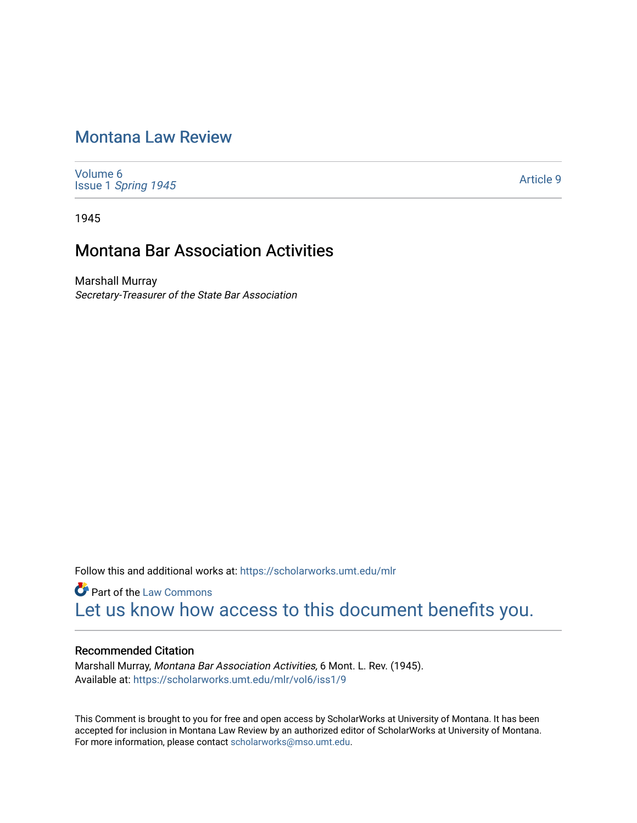# [Montana Law Review](https://scholarworks.umt.edu/mlr)

[Volume 6](https://scholarworks.umt.edu/mlr/vol6) Issue 1 [Spring 1945](https://scholarworks.umt.edu/mlr/vol6/iss1) 

[Article 9](https://scholarworks.umt.edu/mlr/vol6/iss1/9) 

1945

# Montana Bar Association Activities

Marshall Murray Secretary-Treasurer of the State Bar Association

Follow this and additional works at: [https://scholarworks.umt.edu/mlr](https://scholarworks.umt.edu/mlr?utm_source=scholarworks.umt.edu%2Fmlr%2Fvol6%2Fiss1%2F9&utm_medium=PDF&utm_campaign=PDFCoverPages) 

**Part of the [Law Commons](http://network.bepress.com/hgg/discipline/578?utm_source=scholarworks.umt.edu%2Fmlr%2Fvol6%2Fiss1%2F9&utm_medium=PDF&utm_campaign=PDFCoverPages)** [Let us know how access to this document benefits you.](https://goo.gl/forms/s2rGfXOLzz71qgsB2) 

# Recommended Citation

Marshall Murray, Montana Bar Association Activities, 6 Mont. L. Rev. (1945). Available at: [https://scholarworks.umt.edu/mlr/vol6/iss1/9](https://scholarworks.umt.edu/mlr/vol6/iss1/9?utm_source=scholarworks.umt.edu%2Fmlr%2Fvol6%2Fiss1%2F9&utm_medium=PDF&utm_campaign=PDFCoverPages)

This Comment is brought to you for free and open access by ScholarWorks at University of Montana. It has been accepted for inclusion in Montana Law Review by an authorized editor of ScholarWorks at University of Montana. For more information, please contact [scholarworks@mso.umt.edu.](mailto:scholarworks@mso.umt.edu)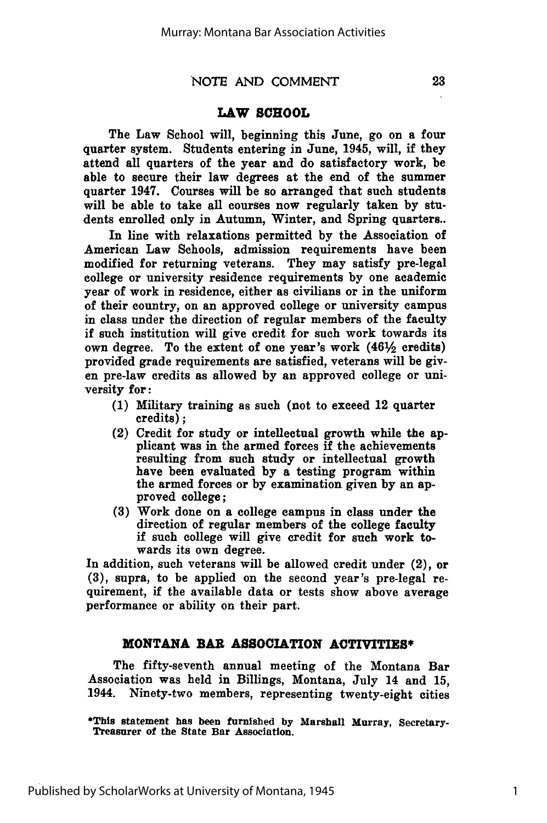# **LAW SCHOOL**

The Law School will, beginning this June, go on a **four** quarter system. Students entering in June, 1945, will, if they attend all quarters of the year and do satisfactory work, be able to secure their law degrees at the end of the summer quarter 1947. Courses will be so arranged that such students will be able to take all courses now regularly taken **by** students enrolled only in Autumn, Winter, and Spring quarters..

In line with relaxations permitted **by** the Association of American Law Schools, admission requirements have been modified for returning veterans. They may satisfy pre-legal college or university residence requirements **by** one academic year of work in residence, either as civilians or in the uniform of their country, on an approved college or university campus in class under the direction of regular members of the faculty if such institution will give credit for such work towards its own degree. To the extent of one year's work  $(46\frac{1}{2})$  credits) provided grade requirements are satisfied, veterans will be given pre-law credits as allowed **by** an approved college or university for:

- **(1)** Military training as such (not to exceed 12 quarter credits) **;**
- (2) Credit for study or intellectual growth while the applicant was in the armed forces if the achievements resulting from such study or intellectual growth have been evaluated **by** a testing program within the armed forces or **by** examination given **by** an approved college;
- **(3)** Work done on a college campus in class under the direction of regular members of the college faculty if such college will give credit for such work towards its own degree.

In addition, such veterans will be allowed credit under (2), or **(3),** supra, to be applied on the second year's pre-legal requirement, if the available data or tests show above average performance or ability on their part.

# **MONTANA BAR ASSOCIATION ACTIVITIES\***

The fifty-seventh annual meeting of the Montana Bar Association was held in Billings, Montana, July 14 and 15, 1944. Ninety-two members, representing twenty-eight cities

Published by ScholarWorks at University of Montana, 1945

23

<sup>\*</sup>This statement has been furnished by Marshall Murray, Secretary-Treasurer of the State Bar Association.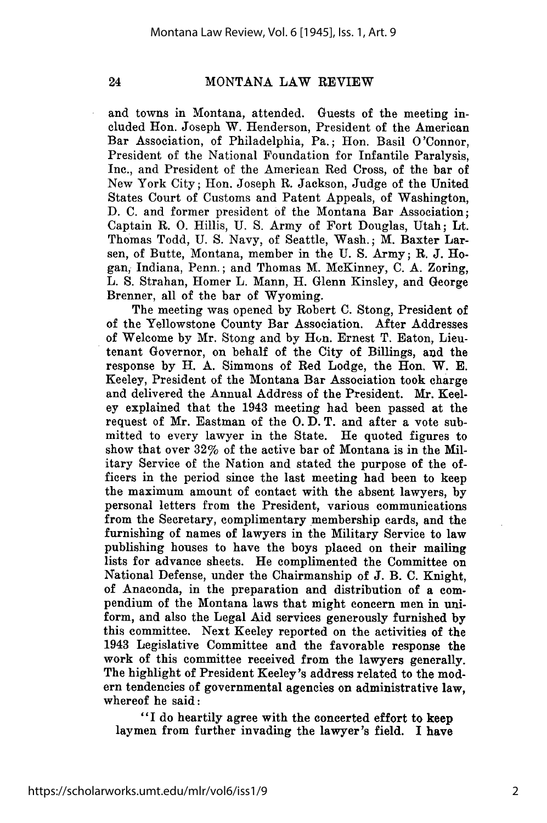### MONTANA LAW REVIEW

and towns in Montana, attended. Guests of the meeting included Hon. Joseph W. Henderson, President of the American Bar Association, of Philadelphia, Pa.; Hon. Basil O'Connor, President of the National Foundation for Infantile Paralysis, Inc., and President of the American Red Cross, of the bar of New York City; Hon. Joseph R. Jackson, Judge of the United States Court of Customs and Patent Appeals, of Washington, D. C. and former president of the Montana Bar Association; Captain R. **0.** Hillis, U. S. Army of Fort Douglas, Utah; Lt. Thomas Todd, U. S. Navy, of Seattle, Wash.; M. Baxter Larsen, of Butte, Montana, member in the U. S. Army; R. J. Hogan, Indiana, Penn.; and Thomas M. McKinney, C. A. Zoring, L. S. Strahan, Homer L. Mann, H. Glenn Kinsley, and George Brenner, all of the bar of Wyoming.

The meeting was opened by Robert C. Stong, President of of the Yellowstone County Bar Association. After Addresses of Welcome by Mr. Stong and by Hun. Ernest T. Eaton, Lieutenant Governor, on behalf of the City of Billings, aud the response by H. A. Simmons of Red Lodge, the Hon. W. E. Keeley, President of the Montana Bar Association took charge and delivered the Annual Address of the President. Mr. Keeley explained that the 1943 meeting had been passed at the request of Mr. Eastman of the **0.** D. T. and after a vote submitted to every lawyer in the State. He quoted figures to show that over 32% of the active bar of Montana is in the Military Service of the Nation and stated the purpose of the officers in the period since the last meeting had been to keep the maximum amount of contact with the absent lawyers, by personal letters from the President, various communications from the Secretary, complimentary membership cards, and the furnishing of names of lawyers in the Military Service to law publishing houses to have the boys placed on their mailing lists for advance sheets. He complimented the Committee on National Defense, under the Chairmanship of J. B. C. Knight, of Anaconda, in the preparation and distribution of a compendium of the Montana laws that might concern men in uniform, and also the Legal Aid services generously furnished by this committee. Next Keeley reported on the activities of the 1943 Legislative Committee and the favorable response the work of this committee received from the lawyers generally. The highlight of President Keeley's address related to the modern tendencies of governmental agencies on administrative law, whereof he said:

"I do heartily agree with the concerted effort to keep laymen from further invading the lawyer's field. I have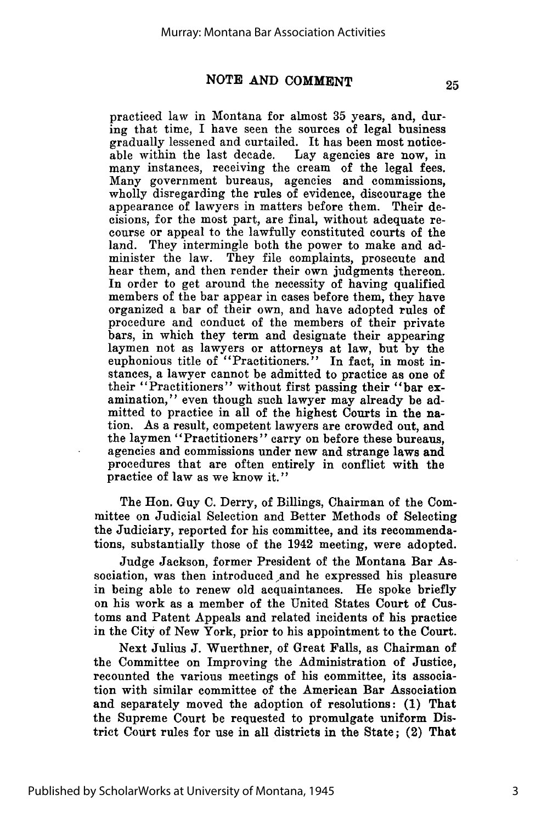practiced law in Montana for almost **35** years, and, during that time, I have seen the sources of legal business gradually lessened and curtailed. It has been most noticeable within the last decade. Lay agencies are now, in many instances, receiving the cream of the legal fees. Many government bureaus, agencies and commissions, wholly disregarding the rules of evidence, discourage the appearance of lawyers in matters before them. Their decisions, for the most part, are final, without adequate recourse or appeal to the lawfully constituted courts of the land. They intermingle both the power to make and administer the law. They file complaints, prosecute and hear them, and then render their own judgments thereon. In order to get around the necessity of having qualified members of the bar appear in cases before them, they have organized a bar of their own, and have adopted rules of procedure and conduct of the members of their private bars, in which they term and designate their appearing laymen not as lawyers or attorneys at law, but **by** the euphonious title of "Practitioners." In fact, in most instances, a lawyer cannot be admitted to practice as one of their "Practitioners" without first passing their "bar examination," even though such lawyer may already be admitted to practice in all of the highest Courts in the nation. As a result, competent lawyers are crowded out, and the laymen "Practitioners" carry on before these bureaus, agencies and commissions under new and strange laws and procedures that are often entirely in conflict with the practice of law as we know it."

The Hon. Guy **C.** Derry, of Billings, Chairman of the Committee on Judicial Selection and Better Methods of Selecting the Judiciary, reported for his committee, and its recommendations, substantially those of the 1942 meeting, were adopted.

Judge Jackson, former President of the Montana Bar Association, was then introduced and he expressed his pleasure in being able to renew old acquaintances. He spoke briefly on his work as a member of the United States Court of Customs and Patent Appeals and related incidents of his practice in the City of New York, prior to his appointment to the Court.

Next Julius **J.** Wuerthner, of Great Falls, as Chairman of the Committee on Improving the Administration of Justice, recounted the various meetings of his committee, its association with similar committee of the American Bar Association and separately moved the adoption of resolutions: **(1)** That the Supreme Court be requested to promulgate uniform District Court rules for use in all districts in the State; (2) That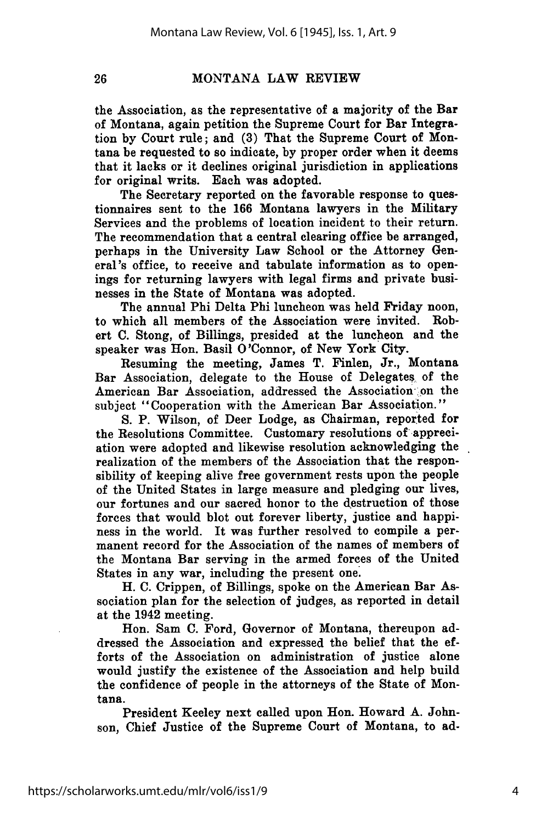# MONTANA LAW REVIEW

the Association, as the representative of a majority of the Bar of Montana, again petition the Supreme Court for Bar Integration by Court rule; and (3) That the Supreme Court of Montana be requested to so indicate, by proper order when it deems that it lacks or it declines original jurisdiction in applications for original writs. Each was adopted.

The Secretary reported on the favorable response to questionnaires sent to the 166 Montana lawyers in the Military Services and the problems of location incident to their return. The recommendation that a central clearing office be arranged, perhaps in the University Law School or the Attorney General's office, to receive and tabulate information as to openings for returning lawyers with legal firms and private businesses in the State of Montana was adopted.

The annual Phi Delta Phi luncheon was held Friday noon, to which all members of the Association were invited. Robert **C.** Stong, of Billings, presided at the luncheon and the speaker was Hon. Basil O'Connor, of New York City.

Resuming the meeting, James T. Finlen, Jr., Montana Bar Association, delegate to the House of Delegates of the American Bar Association, addressed the Association on the subject "Cooperation with the American Bar Association."

**S.** P. Wilson, of Deer Lodge, as Chairman, reported for the Resolutions Committee. Customary resolutions of appreciation were adopted and likewise resolution acknowledging the realization of the members of the Association that the responsibility of keeping alive free government rests upon the people of the United States in large measure and pledging our lives, our fortunes and our sacred honor to the destruction of those forces that would blot out forever liberty, justice and happiness in the world. It was further resolved to compile a permanent record for the Association of the names of members of the Montana Bar serving in the armed forces of the United States in any war, including the present one.

H. **C.** Crippen, of Billings, spoke on the American Bar Association plan for the selection of judges, as reported in detail at the 1942 meeting.

Hon. Sam **C.** Ford, Governor of Montana, thereupon addressed the Association and expressed the belief that the efforts of the Association on administration of justice alone would justify the existence of the Association and help build the confidence of people in the attorneys of the State of Montana.

President Keeley next called upon Hon. Howard **A.** Johnson, Chief Justice of the Supreme Court of Montana, to ad-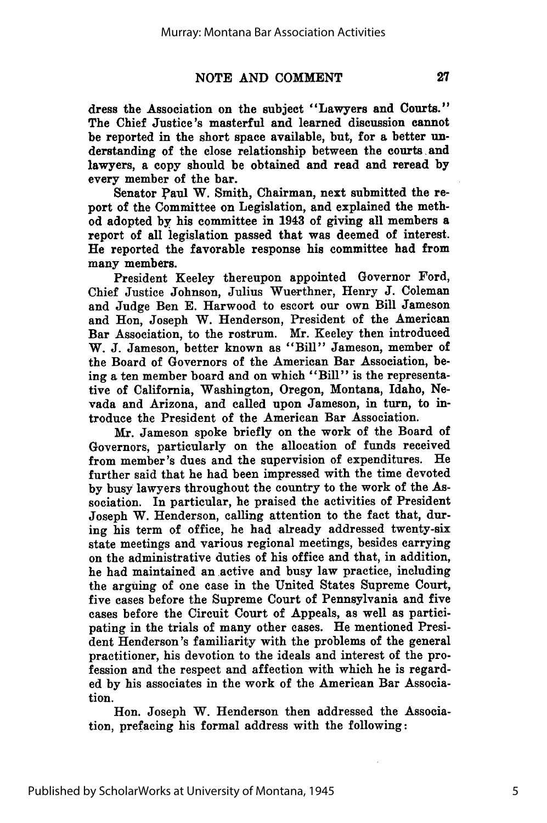dress the Association on the subject "Lawyers and Courts." The Chief Justice's masterful and learned discussion cannot be reported in the short space available, but, for a better understanding of the close relationship between the courts and lawyers, a copy should be obtained and read and reread **by** every member of the bar.

Senator Paul W. Smith, Chairman, next submitted the report of the Committee on Legislation, and explained the method adopted **by** his committee in 1943 of giving all members a report of all legislation passed that was deemed of interest. He reported the favorable response his committee had from many members.

President Keeley thereupon appointed Governor Ford, Chief Justice Johnson, Julius Wuerthner, Henry **J.** Coleman and Judge Ben **E.** Harwood to escort our own Bill Jameson and Hon, Joseph W. Henderson, President of the American Bar Association, to the rostrum. Mr. Keeley then introduced W. **J.** Jameson, better known as "Bill" Jameson, member of the Board of Governors of the American Bar Association, being a ten member board and on which "Bill" is the representative of California, Washington, Oregon, Montana, Idaho, Nevada and Arizona, and called upon Jameson, in turn, to introduce the President of the American Bar Association.

Mr. Jameson spoke briefly on the work of the Board of Governors, particularly on the allocation of funds received from member's dues and the supervision of expenditures. He further said that he had been impressed with the time devoted **by** busy lawyers throughout the country to the work of the Association. In particular, he praised the activities of President Joseph W. Henderson, calling attention to the fact that, during his term of office, he had already addressed twenty-six state meetings and various regional meetings, besides carrying on the administrative duties of his office and that, in addition, he had maintained an active and busy law practice, including the arguing of one case in the United States Supreme Court, five cases before the Supreme Court of Pennsylvania and five cases before the Circuit Court of Appeals, as well as participating in the trials of many other cases. He mentioned President Henderson's familiarity with the problems of the general practitioner, his devotion to the ideals and interest of the profession and the respect and affection with which he is regarded **by** his associates in the work of the American Bar Association.

Hon. Joseph W. Henderson then addressed the Association, prefacing his formal address with the following: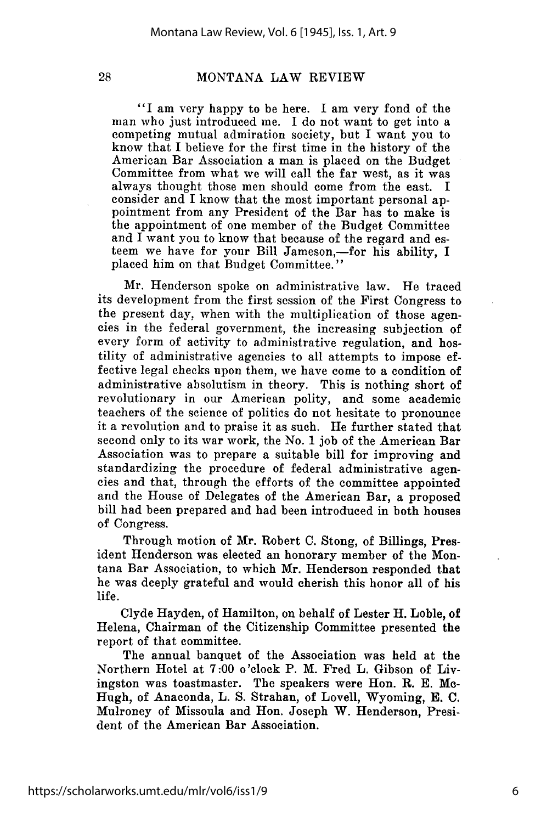# MONTANA LAW REVIEW

"I am very happy to be here. I am very fond of the man who just introduced me. I do not want to get into a competing mutual admiration society, but I want you to know that I believe for the first time in the history of the American Bar Association a man is placed on the Budget Committee from what we will call the far west, as it was always thought those men should come from the east. I consider and I know that the most important personal appointment from any President of the Bar has to make is the appointment of one member of the Budget Committee and I want you to know that because of the regard and esteem we have for your Bill Jameson,—for his ability, I placed him on that Budget Committee."

Mr. Henderson spoke on administrative law. He traced its development from the first session of the First Congress to the present day, when with the multiplication of those agencies in the federal government, the increasing subjection of every form of activity to administrative regulation, and hostility of administrative agencies to all attempts to impose effective legal checks upon them, we have come to a condition of administrative absolutism in theory. This is nothing short of revolutionary in our American polity, and some academic teachers of the science of politics do not hesitate to pronounce it a revolution and to praise it as such. He further stated that second only to its war work, the No. 1 job of the American Bar Association was to prepare a suitable bill for improving and standardizing the procedure of federal administrative agencies and that, through the efforts of the committee appointed and the House of Delegates of the American Bar, a proposed bill had been prepared and had been introduced in both houses of Congress.

Through motion of Mr. Robert C. Stong, of Billings, President Henderson was elected an honorary member of the Montana Bar Association, to which Mr. Henderson responded that he was deeply grateful and would cherish this honor all of his life.

Clyde Hayden, of Hamilton, on behalf of Lester H. Loble, of Helena, Chairman of the Citizenship Committee presented the report of that committee.

The annual banquet of the Association was held at the Northern Hotel at 7:00 o'clock P. M. Fred L. Gibson of Livingston was toastmaster. The speakers were Hon. **R.** E. Mc-Hugh, of Anaconda, L. S. Strahan, of Lovell, Wyoming, E. C. Mulroney of Missoula and Hon. Joseph W. Henderson, President of the American Bar Association.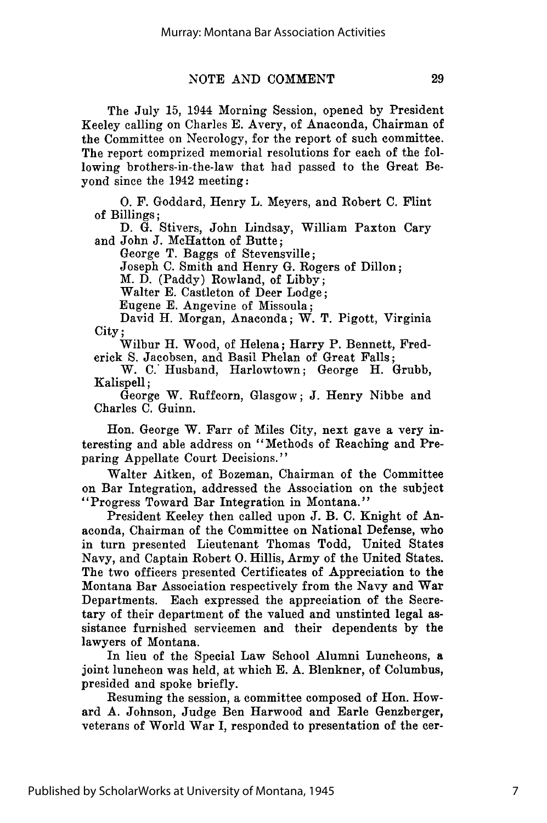The July 15, 1944 Morning Session, opened by President Keeley calling on Charles E. Avery, of Anaconda, Chairman of the Committee on Necrology, for the report of such committee. The report comprized memorial resolutions for each of the following brothers-in-the-law that had passed to the Great Beyond since the 1942 meeting:

**0.** F. Goddard, Henry L. Meyers, and Robert C. Flint of Billings;

D. G. Stivers, John Lindsay, William Paxton Cary and John J. McHatton of Butte;

George T. Baggs of Stevensville;

Joseph C. Smith and Henry G. Rogers of Dillon;

M. D. (Paddy) Rowland, of Libby;

Walter E. Castleton of Deer Lodge;

Eugene E. Angevine of Missoula;

David H. Morgan, Anaconda; W. T. Pigott, Virginia City;

Wilbur H. Wood, of Helena; Harry P. Bennett, Frederick S. Jacobsen, and Basil Phelan of Great Falls;

W. C.' Husband, Harlowtown; George H. Grubb, Kalispell;

George W. Ruffcorn, Glasgow; J. Henry Nibbe and Charles C. Guinn.

Hon. George W. Farr of Miles City, next gave a very interesting and able address on "Methods of Reaching and Preparing Appellate Court Decisions."

Walter Aitken, of Bozeman, Chairman of the Committee on Bar Integration, addressed the Association on the subject "Progress Toward Bar Integration in Montana."

President Keeley then called upon J. B. C. Knight of Anaconda, Chairman of the Committee on National Defense, who in turn presented Lieutenant Thomas Todd, United States Navy, and Captain Robert **0.** Hillis, Army of the United States. The two officers presented Certificates of Appreciation to the Montana Bar Association respectively from the Navy and War Departments. Each expressed the appreciation of the Secretary of their department of the valued and unstinted legal assistance furnished servicemen and their dependents by the lawyers of Montana.

In lieu of the Special Law School Alumni Luncheons, a joint luncheon was held, at which E. A. Blenkner, of Columbus, presided and spoke briefly.

Resuming the session, a committee composed of Hon. Howard A. Johnson, Judge Ben Harwood and Earle Genzberger, veterans of World War I, responded to presentation of the cer-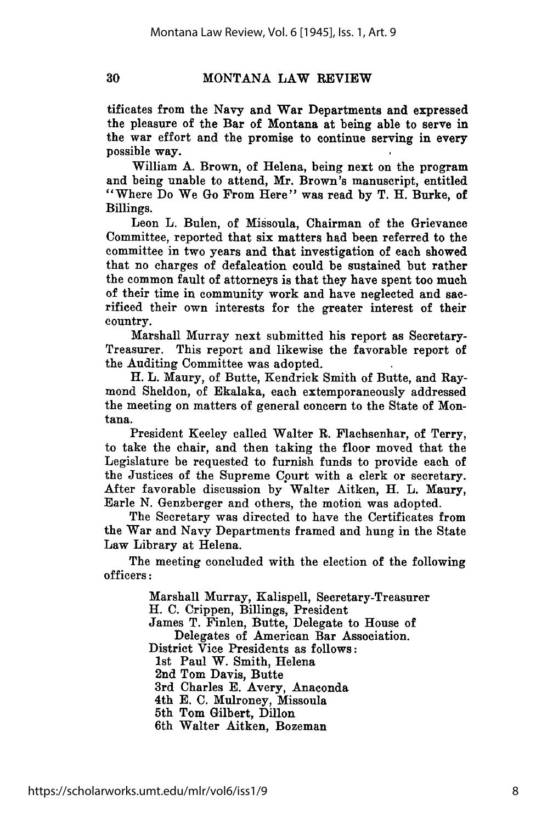# **MONTANA** LAW REVIEW

tificates from the Navy and War Departments and expressed the pleasure of the Bar of Montana at being able to serve in the war effort and the promise to continue serving in every possible way.

William **A.** Brown, of Helena, being next on the program and being unable to attend, Mr. Brown's manuscript, entitled "Where Do We Go From Here" was read **by** T. H. Burke, of Billings.

Leon L. Bulen, of Missoula, Chairman of the Grievance Committee, reported that six matters had been referred to the committee in two years and that investigation of each showed that no charges of defalcation could be sustained but rather the common fault of attorneys is that they have spent too much of their time in community work and have neglected and sacrificed their own interests for the greater interest of their country.

Marshall Murray next submitted his report as Secretary-Treasurer. This report and likewise the favorable report of the Auditing Committee was adopted.

H. L. Maury, of Butte, Kendrick Smith of Butte, and Raymond Sheldon, of Ekalaka, each extemporaneously addressed the meeting on matters of general concern to the State of Montana.

President Keeley called Walter R. Flachsenhar, of Terry, to take the chair, and then taking the floor moved that the Legislature be requested to furnish funds to provide each of the Justices of the Supreme Court with a clerk or secretary. After favorable discussion **by** Walter Aitken, H. L. Maury, Earle **N.** Genzberger and others, the motion was adopted.

The Secretary was directed to have the Certificates from the War and Navy Departments framed and hung in the State Law Library at Helena.

The meeting concluded with the election of the following officers:

> Marshall Murray, Kalispell, Secretary-Treasurer H. **C.** Crippen, Billings, President James T. Finlen, Butte, Delegate to House of Delegates of American Bar Association. District Vice Presidents as follows: 1st Paul W. Smith, Helena 2nd Tom Davis, Butte 3rd Charles **E.** Avery, Anaconda 4th **E. C.** Mulroney, Missoula 5th Tom Gilbert, Dillon 6th Walter Aitken, Bozeman